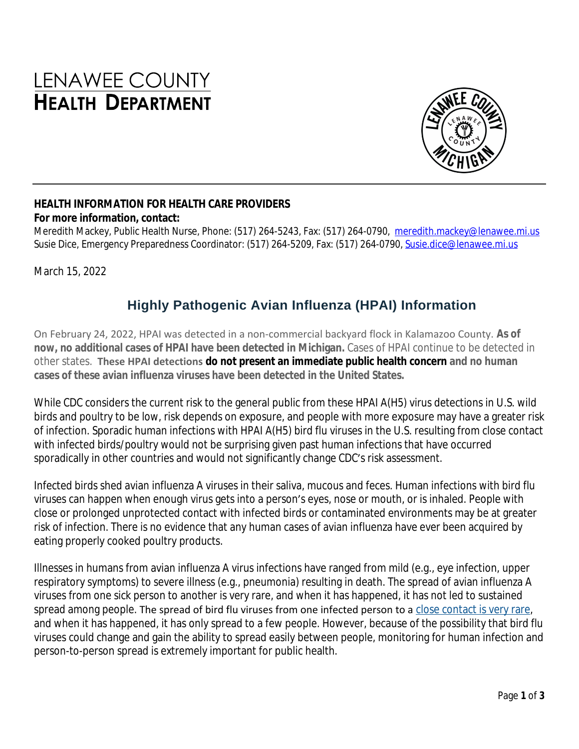# LENAWEE COUNTY **HEALTH DEPARTMENT**



#### **HEALTH INFORMATION FOR HEALTH CARE PROVIDERS For more information, contact:**

Meredith Mackey, Public Health Nurse, Phone: (517) 264-5243, Fax: (517) 264-0790, [meredith.mackey@lenawee.mi.us](mailto:meredith.mackey@lenawee.mi.us) Susie Dice, Emergency Preparedness Coordinator: (517) 264-5209, Fax: (517) 264-0790, [Susie.dice@lenawee.mi.us](mailto:Susie.dice@lenawee.mi.us)

March 15, 2022

## **Highly Pathogenic Avian Influenza (HPAI) Information**

On February 24, 2022, HPAI was detected in a non-commercial backyard flock in Kalamazoo County. **As of now, no additional cases of HPAI have been detected in Michigan.** Cases of HPAI continue to be detected in other states. **These HPAI detections [do not present an immediate public health concern](https://www.cdc.gov/flu/avianflu/spotlights/2021-2022/bird-flu-poses-low-risk-public.htm) and no human cases of these avian influenza viruses have been detected in the United States.**

While CDC considers the current risk to the general public from these HPAI A(H5) virus detections in U.S. wild birds and poultry to be low, risk depends on exposure, and people with more exposure may have a greater risk of infection. Sporadic human infections with HPAI A(H5) bird flu viruses in the U.S. resulting from close contact with infected birds/poultry would not be surprising given past human infections that have occurred sporadically in other countries and would not significantly change CDC's risk assessment.

Infected birds shed avian influenza A viruses in their saliva, mucous and feces. Human infections with bird flu viruses can happen when enough virus gets into a person's eyes, nose or mouth, or is inhaled. People with close or prolonged unprotected contact with infected birds or contaminated environments may be at greater risk of infection. There is no evidence that any human cases of avian influenza have ever been acquired by eating properly cooked poultry products.

Illnesses in humans from avian influenza A virus infections have ranged from mild (e.g., eye infection, upper respiratory symptoms) to severe illness (e.g., pneumonia) resulting in death. The spread of avian influenza A viruses from one sick person to another is very rare, and when it has happened, it has not led to sustained spread among people. The spread of bird flu viruses from one infected person to a [close contact is very rare,](https://www.cdc.gov/flu/avianflu/h5n1-human-infections.htm) and when it has happened, it has only spread to a few people. However, because of the possibility that bird flu viruses could change and gain the ability to spread easily between people, monitoring for human infection and person-to-person spread is extremely important for public health.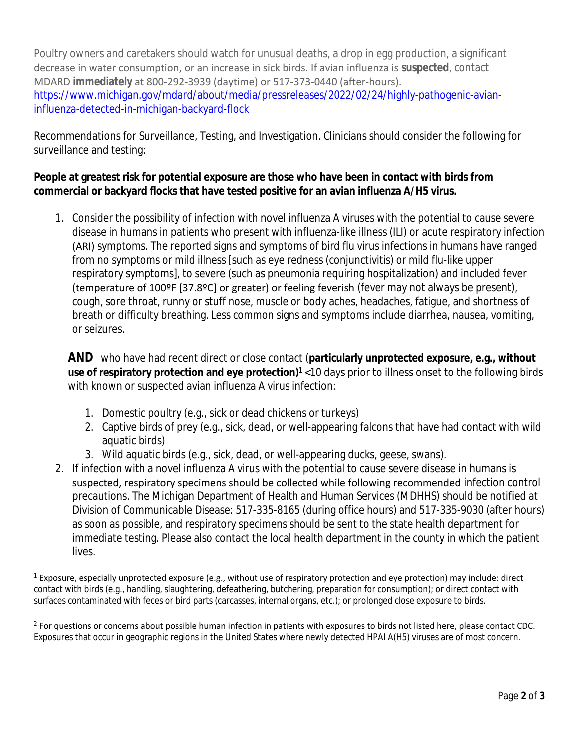Poultry owners and caretakers should watch for unusual deaths, a drop in egg production, a significant decrease in water consumption, or an increase in sick birds. If avian influenza is **suspected**, contact MDARD **immediately** at 800-292-3939 (daytime) or 517-373-0440 (after-hours). [https://www.michigan.gov/mdard/about/media/pressreleases/2022/02/24/highly-pathogenic-avian](https://www.michigan.gov/mdard/about/media/pressreleases/2022/02/24/highly-pathogenic-avian-influenza-detected-in-michigan-backyard-flock)influenza-detected-in-michigan-backyard-flock

Recommendations for Surveillance, Testing, and Investigation. Clinicians should consider the following for surveillance and testing:

### **People at greatest risk for potential exposure are those who have been in contact with birds from commercial or backyard flocks that have tested positive for an avian influenza A/H5 virus.**

1. Consider the possibility of infection with novel influenza A viruses with the potential to cause severe disease in humans in patients who present with influenza-like illness (ILI) or acute respiratory infection (ARI) [symptoms.](https://www.cdc.gov/flu/avianflu/avian-in-humans.htm#"symptoms") The reported signs and symptoms of bird flu virus infections in humans have ranged from no symptoms or mild illness [such as eye redness (conjunctivitis) or mild flu-like upper respiratory symptoms], to severe (such as pneumonia requiring hospitalization) and included fever (temperature of 100ºF [37.8ºC] or greater) or feeling feverish (fever may not always be present), cough, sore throat, runny or stuff nose, muscle or body aches, headaches, fatigue, and shortness of breath or difficulty breathing. Less common signs and symptoms include diarrhea, nausea, vomiting, or seizures.

**AND** who have had recent direct or close contact (**particularly unprotected exposure, e.g., without use of respiratory protection and eye protection)<sup>1</sup>** <10 days prior to illness onset to the following birds with known or suspected avian influenza A virus infection:

- 1. Domestic poultry (e.g., sick or dead chickens or turkeys)
- 2. Captive birds of prey (e.g., sick, dead, or well-appearing falcons that have had contact with wild aquatic birds)
- 3. Wild aquatic birds (e.g., sick, dead, or well-appearing ducks, geese, swans).
- 2. If infection with a novel influenza A virus with the potential to cause severe disease in humans is suspected, respiratory specimens should be collected while following recommended infection control precautions. The Michigan Department of Health and Human Services (MDHHS) should be notified at Division of Communicable Disease: 517-335-8165 (during office hours) and 517-335-9030 (after hours) as soon as possible, and respiratory specimens should be sent to the state health department for immediate testing. Please also contact the local health department in the county in which the patient lives.

<sup>1</sup> Exposure, especially unprotected exposure (e.g., without use of respiratory protection and eye protection) may include: direct contact with birds (e.g., handling, slaughtering, defeathering, butchering, preparation for consumption); or direct contact with surfaces contaminated with feces or bird parts (carcasses, internal organs, etc.); or prolonged close exposure to birds.

 $<sup>2</sup>$  For questions or concerns about possible human infection in patients with exposures to birds not listed here, please contact CDC.</sup> Exposures that occur in geographic regions in the United States where newly detected HPAI A(H5) viruses are of most concern.